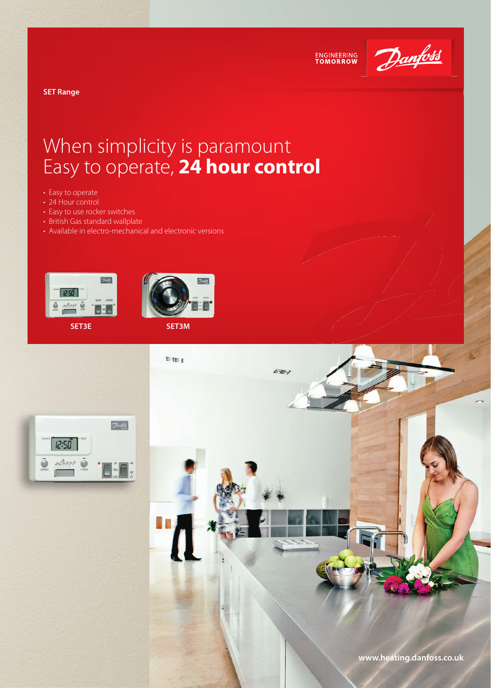

ENGINEERING<br>TOMORROW

**SET Range** 

# When simplicity is paramount Easy to operate, **24 hour control**

- Easy to operate
- 24 Hour control
- Easy to use rocker switches
- British Gas standard wallplate
- Available in electro-mechanical and electronic versions





**SET3E SET3M**



N.

4789

 $\boxed{\mathcal{D}}$ 12:50

**www.heating.danfoss.co.uk**